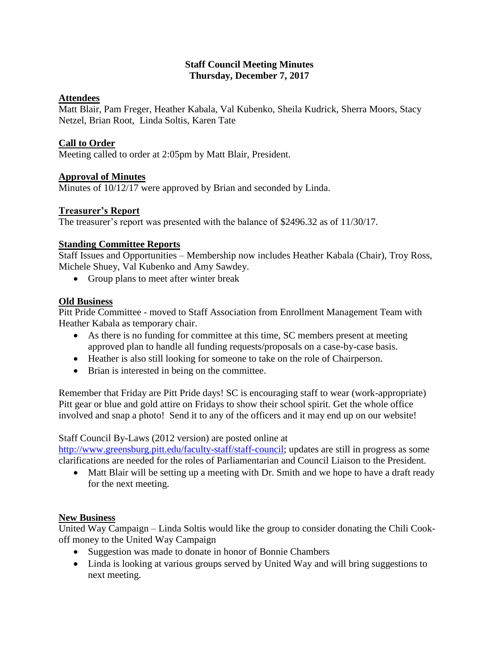### **Staff Council Meeting Minutes Thursday, December 7, 2017**

# **Attendees**

Matt Blair, Pam Freger, Heather Kabala, Val Kubenko, Sheila Kudrick, Sherra Moors, Stacy Netzel, Brian Root, Linda Soltis, Karen Tate

# **Call to Order**

Meeting called to order at 2:05pm by Matt Blair, President.

### **Approval of Minutes**

Minutes of 10/12/17 were approved by Brian and seconded by Linda.

### **Treasurer's Report**

The treasurer's report was presented with the balance of \$2496.32 as of 11/30/17.

# **Standing Committee Reports**

Staff Issues and Opportunities – Membership now includes Heather Kabala (Chair), Troy Ross, Michele Shuey, Val Kubenko and Amy Sawdey.

• Group plans to meet after winter break

### **Old Business**

Pitt Pride Committee - moved to Staff Association from Enrollment Management Team with Heather Kabala as temporary chair.

- As there is no funding for committee at this time, SC members present at meeting approved plan to handle all funding requests/proposals on a case-by-case basis.
- Heather is also still looking for someone to take on the role of Chairperson.
- Brian is interested in being on the committee.

Remember that Friday are Pitt Pride days! SC is encouraging staff to wear (work-appropriate) Pitt gear or blue and gold attire on Fridays to show their school spirit. Get the whole office involved and snap a photo! Send it to any of the officers and it may end up on our website!

Staff Council By-Laws (2012 version) are posted online at

[http://www.greensburg.pitt.edu/faculty-staff/staff-council;](http://www.greensburg.pitt.edu/faculty-staff/staff-council) updates are still in progress as some clarifications are needed for the roles of Parliamentarian and Council Liaison to the President.

• Matt Blair will be setting up a meeting with Dr. Smith and we hope to have a draft ready for the next meeting.

#### **New Business**

United Way Campaign – Linda Soltis would like the group to consider donating the Chili Cookoff money to the United Way Campaign

- Suggestion was made to donate in honor of Bonnie Chambers
- Linda is looking at various groups served by United Way and will bring suggestions to next meeting.